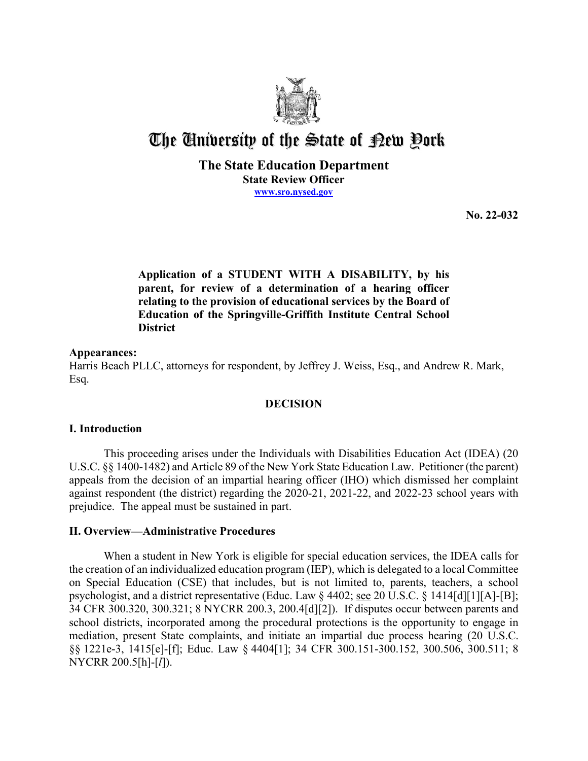

# The University of the State of Pew Pork

**The State Education Department State Review Officer [www.sro.nysed.gov](http://www.sro.nysed.gov/)** 

**No. 22-032** 

 **Application of a STUDENT WITH A DISABILITY, by his relating to the provision of educational services by the Board of parent, for review of a determination of a hearing officer Education of the Springville-Griffith Institute Central School District** 

# **Appearances:**

 Harris Beach PLLC, attorneys for respondent, by Jeffrey J. Weiss, Esq., and Andrew R. Mark, Esq.

# **DECISION**

#### **I. Introduction**

 appeals from the decision of an impartial hearing officer (IHO) which dismissed her complaint This proceeding arises under the Individuals with Disabilities Education Act (IDEA) (20 U.S.C. §§ 1400-1482) and Article 89 of the New York State Education Law. Petitioner (the parent) against respondent (the district) regarding the 2020-21, 2021-22, and 2022-23 school years with prejudice. The appeal must be sustained in part.

# **II. Overview—Administrative Procedures**

 the creation of an individualized education program (IEP), which is delegated to a local Committee on Special Education (CSE) that includes, but is not limited to, parents, teachers, a school psychologist, and a district representative (Educ. Law § 4402; see 20 U.S.C. § 1414[d][1][A]-[B]; §§ 1221e-3, 1415[e]-[f]; Educ. Law § 4404[1]; 34 CFR 300.151-300.152, 300.506, 300.511; 8 When a student in New York is eligible for special education services, the IDEA calls for 34 CFR 300.320, 300.321; 8 NYCRR 200.3, 200.4[d][2]). If disputes occur between parents and school districts, incorporated among the procedural protections is the opportunity to engage in mediation, present State complaints, and initiate an impartial due process hearing (20 U.S.C. NYCRR 200.5[h]-[*l*]).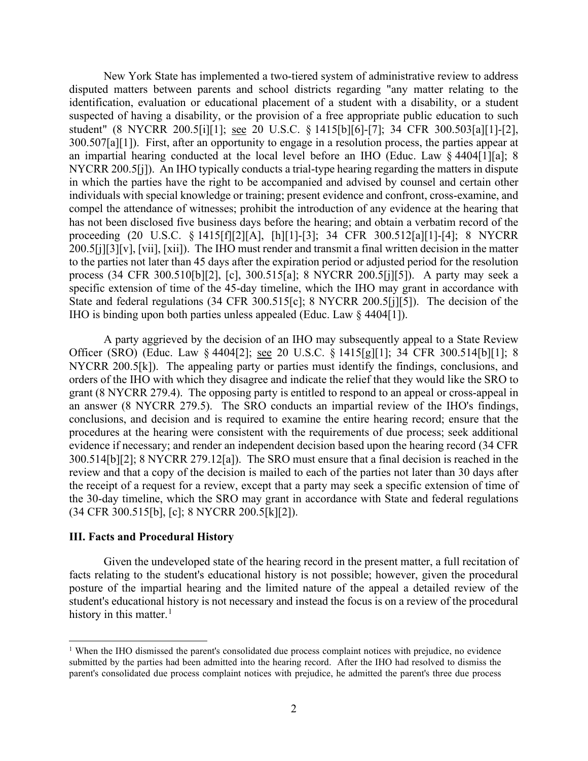New York State has implemented a two-tiered system of administrative review to address disputed matters between parents and school districts regarding "any matter relating to the 300.507[a][1]). First, after an opportunity to engage in a resolution process, the parties appear at NYCRR 200.5[j]). An IHO typically conducts a trial-type hearing regarding the matters in dispute process (34 CFR 300.510[b][2], [c], 300.515[a]; 8 NYCRR 200.5[j][5]). A party may seek a IHO is binding upon both parties unless appealed (Educ. Law § 4404[1]). identification, evaluation or educational placement of a student with a disability, or a student suspected of having a disability, or the provision of a free appropriate public education to such student" (8 NYCRR 200.5[i][1]; see 20 U.S.C. § 1415[b][6]-[7]; 34 CFR 300.503[a][1]-[2], an impartial hearing conducted at the local level before an IHO (Educ. Law § 4404[1][a]; 8 in which the parties have the right to be accompanied and advised by counsel and certain other individuals with special knowledge or training; present evidence and confront, cross-examine, and compel the attendance of witnesses; prohibit the introduction of any evidence at the hearing that has not been disclosed five business days before the hearing; and obtain a verbatim record of the proceeding (20 U.S.C. § 1415[f][2][A], [h][1]-[3]; 34 CFR 300.512[a][1]-[4]; 8 NYCRR 200.5[j][3][v], [vii], [xii]). The IHO must render and transmit a final written decision in the matter to the parties not later than 45 days after the expiration period or adjusted period for the resolution specific extension of time of the 45-day timeline, which the IHO may grant in accordance with State and federal regulations (34 CFR 300.515[c]; 8 NYCRR 200.5[j][5]). The decision of the

Officer (SRO) (Educ. Law § 4404[2]; <u>see</u> 20 U.S.C. § 1415[g][1]; 34 CFR 300.514[b][1]; 8 NYCRR 200.5[k]). The appealing party or parties must identify the findings, conclusions, and 300.514[b][2]; 8 NYCRR 279.12[a]). The SRO must ensure that a final decision is reached in the review and that a copy of the decision is mailed to each of the parties not later than 30 days after A party aggrieved by the decision of an IHO may subsequently appeal to a State Review orders of the IHO with which they disagree and indicate the relief that they would like the SRO to grant (8 NYCRR 279.4). The opposing party is entitled to respond to an appeal or cross-appeal in an answer (8 NYCRR 279.5). The SRO conducts an impartial review of the IHO's findings, conclusions, and decision and is required to examine the entire hearing record; ensure that the procedures at the hearing were consistent with the requirements of due process; seek additional evidence if necessary; and render an independent decision based upon the hearing record (34 CFR the receipt of a request for a review, except that a party may seek a specific extension of time of the 30-day timeline, which the SRO may grant in accordance with State and federal regulations (34 CFR 300.515[b], [c]; 8 NYCRR 200.5[k][2]).

### **III. Facts and Procedural History**

 Given the undeveloped state of the hearing record in the present matter, a full recitation of posture of the impartial hearing and the limited nature of the appeal a detailed review of the facts relating to the student's educational history is not possible; however, given the procedural student's educational history is not necessary and instead the focus is on a review of the procedural history in this matter.<sup>[1](#page-1-0)</sup>

<span id="page-1-0"></span> submitted by the parties had been admitted into the hearing record. After the IHO had resolved to dismiss the parent's consolidated due process complaint notices with prejudice, he admitted the parent's three due process <sup>1</sup> When the IHO dismissed the parent's consolidated due process complaint notices with prejudice, no evidence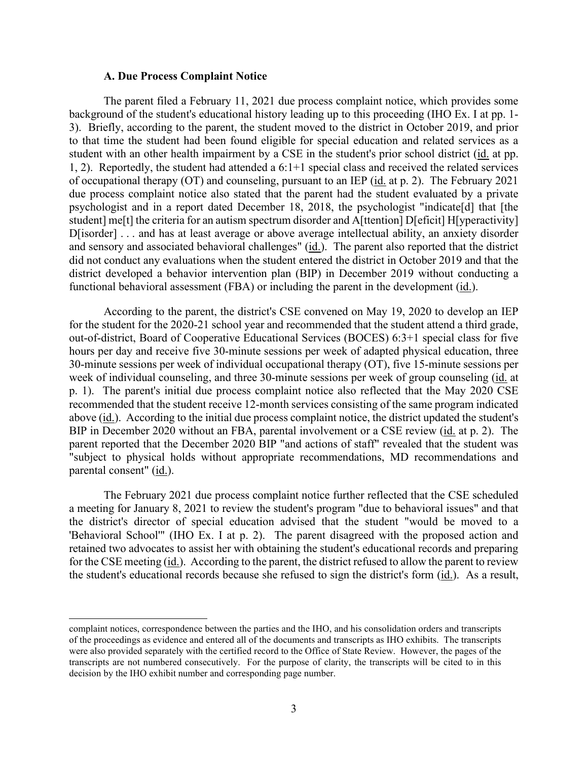#### **A. Due Process Complaint Notice**

 to that time the student had been found eligible for special education and related services as a of occupational therapy (OT) and counseling, pursuant to an IEP (id. at p. 2). The February 2021 D[isorder] . . . and has at least average or above average intellectual ability, an anxiety disorder and sensory and associated behavioral challenges" (id.). The parent also reported that the district The parent filed a February 11, 2021 due process complaint notice, which provides some background of the student's educational history leading up to this proceeding (IHO Ex. I at pp. 1- 3). Briefly, according to the parent, the student moved to the district in October 2019, and prior student with an other health impairment by a CSE in the student's prior school district (id. at pp. 1, 2). Reportedly, the student had attended a 6:1+1 special class and received the related services due process complaint notice also stated that the parent had the student evaluated by a private psychologist and in a report dated December 18, 2018, the psychologist "indicate[d] that [the student] me[t] the criteria for an autism spectrum disorder and A[ttention] D[eficit] H[yperactivity] did not conduct any evaluations when the student entered the district in October 2019 and that the district developed a behavior intervention plan (BIP) in December 2019 without conducting a functional behavioral assessment (FBA) or including the parent in the development (id.).

 out-of-district, Board of Cooperative Educational Services (BOCES) 6:3+1 special class for five above (id.). According to the initial due process complaint notice, the district updated the student's According to the parent, the district's CSE convened on May 19, 2020 to develop an IEP for the student for the 2020-21 school year and recommended that the student attend a third grade, hours per day and receive five 30-minute sessions per week of adapted physical education, three 30-minute sessions per week of individual occupational therapy (OT), five 15-minute sessions per week of individual counseling, and three 30-minute sessions per week of group counseling (id. at p. 1). The parent's initial due process complaint notice also reflected that the May 2020 CSE recommended that the student receive 12-month services consisting of the same program indicated BIP in December 2020 without an FBA, parental involvement or a CSE review (id. at p. 2). The parent reported that the December 2020 BIP "and actions of staff" revealed that the student was "subject to physical holds without appropriate recommendations, MD recommendations and parental consent" (id.).

 The February 2021 due process complaint notice further reflected that the CSE scheduled a meeting for January 8, 2021 to review the student's program "due to behavioral issues" and that the district's director of special education advised that the student "would be moved to a 'Behavioral School'" (IHO Ex. I at p. 2). The parent disagreed with the proposed action and retained two advocates to assist her with obtaining the student's educational records and preparing for the CSE meeting (id.). According to the parent, the district refused to allow the parent to review the student's educational records because she refused to sign the district's form (id.). As a result,

 of the proceedings as evidence and entered all of the documents and transcripts as IHO exhibits. The transcripts transcripts are not numbered consecutively. For the purpose of clarity, the transcripts will be cited to in this complaint notices, correspondence between the parties and the IHO, and his consolidation orders and transcripts were also provided separately with the certified record to the Office of State Review. However, the pages of the decision by the IHO exhibit number and corresponding page number.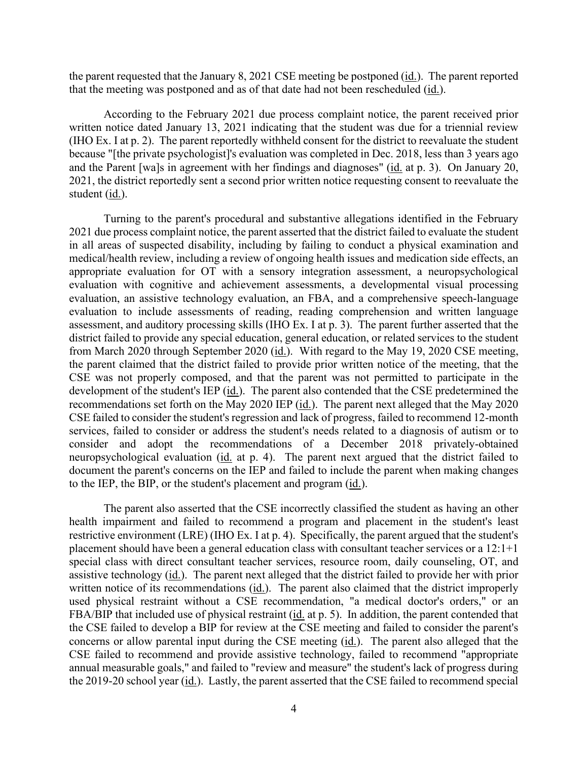the parent requested that the January 8, 2021 CSE meeting be postponed (*id.*). The parent reported that the meeting was postponed and as of that date had not been rescheduled (id.).

and the Parent [wa]s in agreement with her findings and diagnoses" (*id.* at p. 3). On January 20, According to the February 2021 due process complaint notice, the parent received prior written notice dated January 13, 2021 indicating that the student was due for a triennial review (IHO Ex. I at p. 2). The parent reportedly withheld consent for the district to reevaluate the student because "[the private psychologist]'s evaluation was completed in Dec. 2018, less than 3 years ago 2021, the district reportedly sent a second prior written notice requesting consent to reevaluate the student (id.).

 Turning to the parent's procedural and substantive allegations identified in the February in all areas of suspected disability, including by failing to conduct a physical examination and medical/health review, including a review of ongoing health issues and medication side effects, an assessment, and auditory processing skills (IHO Ex. I at p. 3). The parent further asserted that the document the parent's concerns on the IEP and failed to include the parent when making changes to the IEP, the BIP, or the student's placement and program (*id.*). 2021 due process complaint notice, the parent asserted that the district failed to evaluate the student appropriate evaluation for OT with a sensory integration assessment, a neuropsychological evaluation with cognitive and achievement assessments, a developmental visual processing evaluation, an assistive technology evaluation, an FBA, and a comprehensive speech-language evaluation to include assessments of reading, reading comprehension and written language district failed to provide any special education, general education, or related services to the student from March 2020 through September 2020 (id.). With regard to the May 19, 2020 CSE meeting, the parent claimed that the district failed to provide prior written notice of the meeting, that the CSE was not properly composed, and that the parent was not permitted to participate in the development of the student's IEP (id.). The parent also contended that the CSE predetermined the recommendations set forth on the May 2020 IEP (id.). The parent next alleged that the May 2020 CSE failed to consider the student's regression and lack of progress, failed to recommend 12-month services, failed to consider or address the student's needs related to a diagnosis of autism or to consider and adopt the recommendations of a December 2018 privately-obtained neuropsychological evaluation (id. at p. 4). The parent next argued that the district failed to

FBA/BIP that included use of physical restraint (id. at p. 5). In addition, the parent contended that the CSE failed to develop a BIP for review at the CSE meeting and failed to consider the parent's The parent also asserted that the CSE incorrectly classified the student as having an other health impairment and failed to recommend a program and placement in the student's least restrictive environment (LRE) (IHO Ex. I at p. 4). Specifically, the parent argued that the student's placement should have been a general education class with consultant teacher services or a 12:1+1 special class with direct consultant teacher services, resource room, daily counseling, OT, and assistive technology (id.). The parent next alleged that the district failed to provide her with prior written notice of its recommendations (id.). The parent also claimed that the district improperly used physical restraint without a CSE recommendation, "a medical doctor's orders," or an concerns or allow parental input during the CSE meeting (id.). The parent also alleged that the CSE failed to recommend and provide assistive technology, failed to recommend "appropriate annual measurable goals," and failed to "review and measure" the student's lack of progress during the 2019-20 school year (id.). Lastly, the parent asserted that the CSE failed to recommend special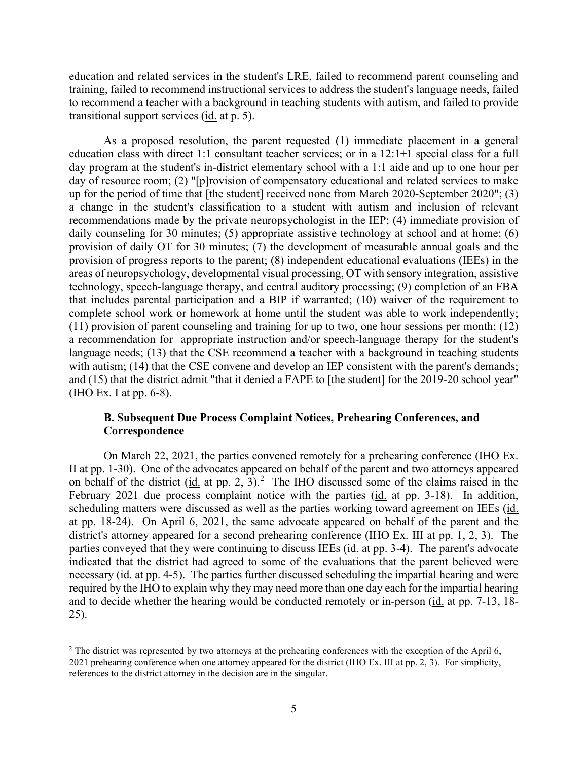transitional support services (*id.* at p. 5). education and related services in the student's LRE, failed to recommend parent counseling and training, failed to recommend instructional services to address the student's language needs, failed to recommend a teacher with a background in teaching students with autism, and failed to provide

 education class with direct 1:1 consultant teacher services; or in a 12:1+1 special class for a full day of resource room; (2) "[p]rovision of compensatory educational and related services to make that includes parental participation and a BIP if warranted; (10) waiver of the requirement to (IHO Ex. I at pp. 6-8). As a proposed resolution, the parent requested (1) immediate placement in a general day program at the student's in-district elementary school with a 1:1 aide and up to one hour per up for the period of time that [the student] received none from March 2020-September 2020"; (3) a change in the student's classification to a student with autism and inclusion of relevant recommendations made by the private neuropsychologist in the IEP; (4) immediate provision of daily counseling for 30 minutes; (5) appropriate assistive technology at school and at home; (6) provision of daily OT for 30 minutes; (7) the development of measurable annual goals and the provision of progress reports to the parent; (8) independent educational evaluations (IEEs) in the areas of neuropsychology, developmental visual processing, OT with sensory integration, assistive technology, speech-language therapy, and central auditory processing; (9) completion of an FBA complete school work or homework at home until the student was able to work independently; (11) provision of parent counseling and training for up to two, one hour sessions per month; (12) a recommendation for appropriate instruction and/or speech-language therapy for the student's language needs; (13) that the CSE recommend a teacher with a background in teaching students with autism; (14) that the CSE convene and develop an IEP consistent with the parent's demands; and (15) that the district admit "that it denied a FAPE to [the student] for the 2019-20 school year"

# **Correspondence B. Subsequent Due Process Complaint Notices, Prehearing Conferences, and**

on behalf of the district (id. at pp. [2](#page-4-0), 3).<sup>2</sup> The IHO discussed some of the claims raised in the scheduling matters were discussed as well as the parties working toward agreement on IEEs (id. district's attorney appeared for a second prehearing conference (IHO Ex. III at pp. 1, 2, 3). The parties conveyed that they were continuing to discuss IEEs (*id.* at pp. 3-4). The parent's advocate On March 22, 2021, the parties convened remotely for a prehearing conference (IHO Ex. II at pp. 1-30). One of the advocates appeared on behalf of the parent and two attorneys appeared February 2021 due process complaint notice with the parties (id. at pp. 3-18). In addition, at pp. 18-24). On April 6, 2021, the same advocate appeared on behalf of the parent and the indicated that the district had agreed to some of the evaluations that the parent believed were necessary (id. at pp. 4-5). The parties further discussed scheduling the impartial hearing and were required by the IHO to explain why they may need more than one day each for the impartial hearing and to decide whether the hearing would be conducted remotely or in-person (id. at pp. 7-13, 18- 25).

<span id="page-4-0"></span> 2021 prehearing conference when one attorney appeared for the district (IHO Ex. III at pp. 2, 3). For simplicity, references to the district attorney in the decision are in the singular.<br>5  $2$  The district was represented by two attorneys at the prehearing conferences with the exception of the April 6,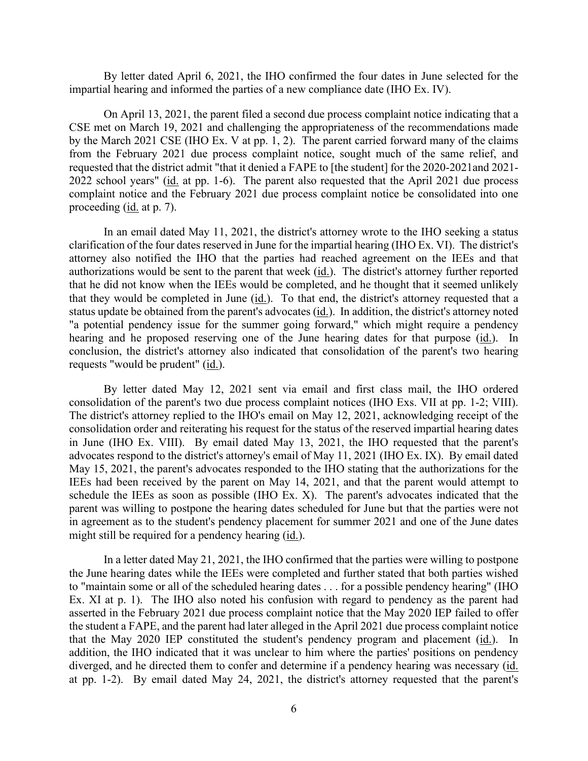impartial hearing and informed the parties of a new compliance date (IHO Ex. IV). By letter dated April 6, 2021, the IHO confirmed the four dates in June selected for the

 by the March 2021 CSE (IHO Ex. V at pp. 1, 2). The parent carried forward many of the claims 2022 school years" (id. at pp. 1-6). The parent also requested that the April 2021 due process proceeding (*id.* at p. 7). On April 13, 2021, the parent filed a second due process complaint notice indicating that a CSE met on March 19, 2021 and challenging the appropriateness of the recommendations made from the February 2021 due process complaint notice, sought much of the same relief, and requested that the district admit "that it denied a FAPE to [the student] for the 2020-2021and 2021 complaint notice and the February 2021 due process complaint notice be consolidated into one

 attorney also notified the IHO that the parties had reached agreement on the IEEs and that authorizations would be sent to the parent that week (id.). The district's attorney further reported that he did not know when the IEEs would be completed, and he thought that it seemed unlikely hearing and he proposed reserving one of the June hearing dates for that purpose (*id.*). In requests "would be prudent" (id.). In an email dated May 11, 2021, the district's attorney wrote to the IHO seeking a status clarification of the four dates reserved in June for the impartial hearing (IHO Ex. VI). The district's that they would be completed in June (id.). To that end, the district's attorney requested that a status update be obtained from the parent's advocates (id.). In addition, the district's attorney noted "a potential pendency issue for the summer going forward," which might require a pendency conclusion, the district's attorney also indicated that consolidation of the parent's two hearing

consolidation of the parent's two due process complaint notices (IHO Exs. VII at pp. 1-2; VIII). consolidation of the parent's two due process complaint notices (IHO Exs. VII at pp. 1-2; VIII). The district's attorney replied to the IHO's email on May 12, 2021, acknowledging receipt of the in June (IHO Ex. VIII). By email dated May 13, 2021, the IHO requested that the parent's IEEs had been received by the parent on May 14, 2021, and that the parent would attempt to parent was willing to postpone the hearing dates scheduled for June but that the parties were not might still be required for a pendency hearing (id.). By letter dated May 12, 2021 sent via email and first class mail, the IHO ordered consolidation order and reiterating his request for the status of the reserved impartial hearing dates advocates respond to the district's attorney's email of May 11, 2021 (IHO Ex. IX). By email dated May 15, 2021, the parent's advocates responded to the IHO stating that the authorizations for the schedule the IEEs as soon as possible (IHO Ex. X). The parent's advocates indicated that the in agreement as to the student's pendency placement for summer 2021 and one of the June dates

 to "maintain some or all of the scheduled hearing dates . . . for a possible pendency hearing" (IHO that the May 2020 IEP constituted the student's pendency program and placement (*id.*). In at pp. 1-2). By email dated May 24, 2021, the district's attorney requested that the parent's In a letter dated May 21, 2021, the IHO confirmed that the parties were willing to postpone the June hearing dates while the IEEs were completed and further stated that both parties wished Ex. XI at p. 1). The IHO also noted his confusion with regard to pendency as the parent had asserted in the February 2021 due process complaint notice that the May 2020 IEP failed to offer the student a FAPE, and the parent had later alleged in the April 2021 due process complaint notice addition, the IHO indicated that it was unclear to him where the parties' positions on pendency diverged, and he directed them to confer and determine if a pendency hearing was necessary (id.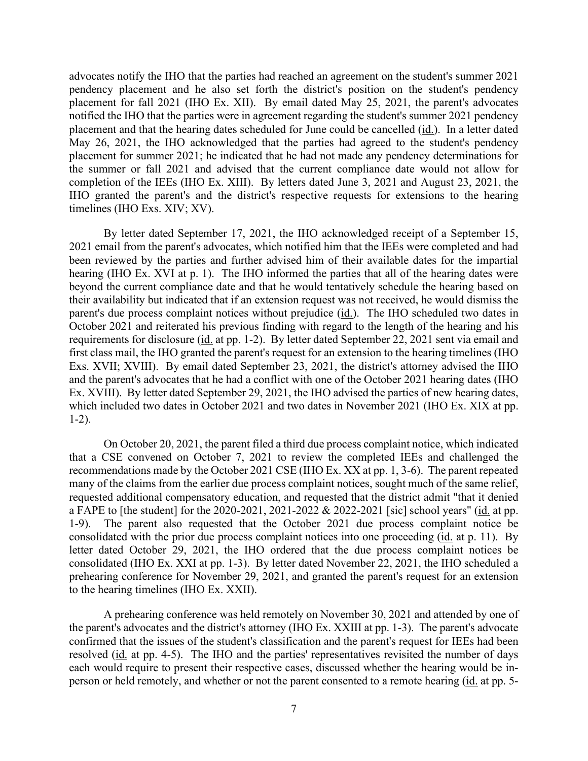placement and that the hearing dates scheduled for June could be cancelled (id.). In a letter dated placement for summer 2021; he indicated that he had not made any pendency determinations for the summer or fall 2021 and advised that the current compliance date would not allow for advocates notify the IHO that the parties had reached an agreement on the student's summer 2021 pendency placement and he also set forth the district's position on the student's pendency placement for fall 2021 (IHO Ex. XII). By email dated May 25, 2021, the parent's advocates notified the IHO that the parties were in agreement regarding the student's summer 2021 pendency May 26, 2021, the IHO acknowledged that the parties had agreed to the student's pendency completion of the IEEs (IHO Ex. XIII). By letters dated June 3, 2021 and August 23, 2021, the IHO granted the parent's and the district's respective requests for extensions to the hearing timelines (IHO Exs. XIV; XV).

 By letter dated September 17, 2021, the IHO acknowledged receipt of a September 15, hearing (IHO Ex. XVI at p. 1). The IHO informed the parties that all of the hearing dates were their availability but indicated that if an extension request was not received, he would dismiss the requirements for disclosure (id. at pp. 1-2). By letter dated September 22, 2021 sent via email and Exs. XVII; XVIII). By email dated September 23, 2021, the district's attorney advised the IHO Ex. XVIII). By letter dated September 29, 2021, the IHO advised the parties of new hearing dates, 2021 email from the parent's advocates, which notified him that the IEEs were completed and had been reviewed by the parties and further advised him of their available dates for the impartial beyond the current compliance date and that he would tentatively schedule the hearing based on parent's due process complaint notices without prejudice (id.). The IHO scheduled two dates in October 2021 and reiterated his previous finding with regard to the length of the hearing and his first class mail, the IHO granted the parent's request for an extension to the hearing timelines (IHO and the parent's advocates that he had a conflict with one of the October 2021 hearing dates (IHO which included two dates in October 2021 and two dates in November 2021 (IHO Ex. XIX at pp. 1-2).

 On October 20, 2021, the parent filed a third due process complaint notice, which indicated a FAPE to [the student] for the 2020-2021, 2021-2022 & 2022-2021 [sic] school years" (id. at pp. consolidated with the prior due process complaint notices into one proceeding (*id.* at p. 11). By consolidated (IHO Ex. XXI at pp. 1-3). By letter dated November 22, 2021, the IHO scheduled a that a CSE convened on October 7, 2021 to review the completed IEEs and challenged the recommendations made by the October 2021 CSE (IHO Ex. XX at pp. 1, 3-6). The parent repeated many of the claims from the earlier due process complaint notices, sought much of the same relief, requested additional compensatory education, and requested that the district admit "that it denied 1-9). The parent also requested that the October 2021 due process complaint notice be letter dated October 29, 2021, the IHO ordered that the due process complaint notices be prehearing conference for November 29, 2021, and granted the parent's request for an extension to the hearing timelines (IHO Ex. XXII).

 the parent's advocates and the district's attorney (IHO Ex. XXIII at pp. 1-3). The parent's advocate resolved (id. at pp. 4-5). The IHO and the parties' representatives revisited the number of days person or held remotely, and whether or not the parent consented to a remote hearing (id. at pp. 5-A prehearing conference was held remotely on November 30, 2021 and attended by one of confirmed that the issues of the student's classification and the parent's request for IEEs had been each would require to present their respective cases, discussed whether the hearing would be in-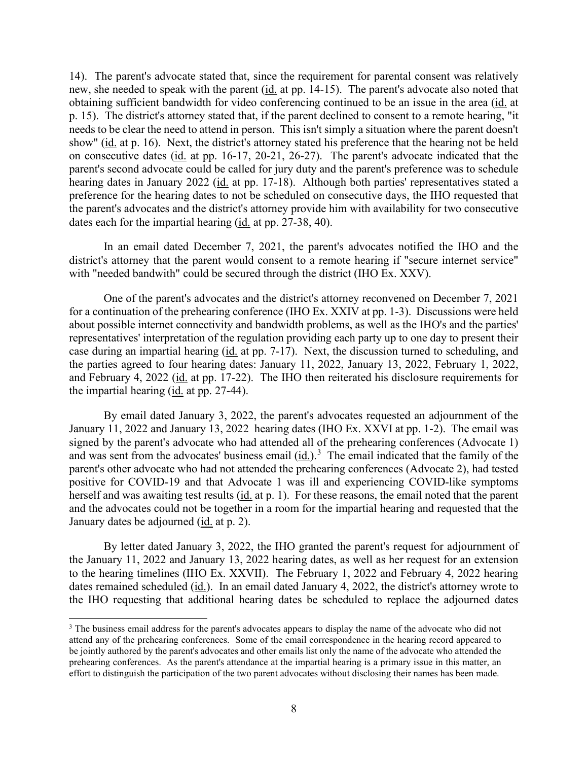new, she needed to speak with the parent (*id.* at pp. 14-15). The parent's advocate also noted that show" (id. at p. 16). Next, the district's attorney stated his preference that the hearing not be held on consecutive dates (id. at pp. 16-17, 20-21, 26-27). The parent's advocate indicated that the preference for the hearing dates to not be scheduled on consecutive days, the IHO requested that the parent's advocates and the district's attorney provide him with availability for two consecutive 14). The parent's advocate stated that, since the requirement for parental consent was relatively obtaining sufficient bandwidth for video conferencing continued to be an issue in the area (id. at p. 15). The district's attorney stated that, if the parent declined to consent to a remote hearing, "it needs to be clear the need to attend in person. This isn't simply a situation where the parent doesn't parent's second advocate could be called for jury duty and the parent's preference was to schedule hearing dates in January 2022 (id. at pp. 17-18). Although both parties' representatives stated a dates each for the impartial hearing (id. at pp. 27-38, 40).

 In an email dated December 7, 2021, the parent's advocates notified the IHO and the district's attorney that the parent would consent to a remote hearing if "secure internet service" with "needed bandwith" could be secured through the district (IHO Ex. XXV).

 One of the parent's advocates and the district's attorney reconvened on December 7, 2021 for a continuation of the prehearing conference (IHO Ex. XXIV at pp. 1-3). Discussions were held about possible internet connectivity and bandwidth problems, as well as the IHO's and the parties' case during an impartial hearing (*id.* at pp. 7-17). Next, the discussion turned to scheduling, and and February 4, 2022 (*id.* at pp. 17-22). The IHO then reiterated his disclosure requirements for representatives' interpretation of the regulation providing each party up to one day to present their the parties agreed to four hearing dates: January 11, 2022, January 13, 2022, February 1, 2022, the impartial hearing (id. at pp. 27-44).

and was sent from the advocates' business email  $(id.)$ <sup>3</sup> The email indicated that the family of the parent's other advocate who had not attended the prehearing conferences (Advocate 2), had tested herself and was awaiting test results (id. at p. 1). For these reasons, the email noted that the parent January dates be adjourned (*id.* at p. 2). By email dated January 3, 2022, the parent's advocates requested an adjournment of the January 11, 2022 and January 13, 2022 hearing dates (IHO Ex. XXVI at pp. 1-2). The email was signed by the parent's advocate who had attended all of the prehearing conferences (Advocate 1) positive for COVID-19 and that Advocate 1 was ill and experiencing COVID-like symptoms and the advocates could not be together in a room for the impartial hearing and requested that the

 to the hearing timelines (IHO Ex. XXVII). The February 1, 2022 and February 4, 2022 hearing dates remained scheduled (*id.*). In an email dated January 4, 2022, the district's attorney wrote to By letter dated January 3, 2022, the IHO granted the parent's request for adjournment of the January 11, 2022 and January 13, 2022 hearing dates, as well as her request for an extension the IHO requesting that additional hearing dates be scheduled to replace the adjourned dates

<span id="page-7-0"></span><sup>&</sup>lt;sup>3</sup> The business email address for the parent's advocates appears to display the name of the advocate who did not attend any of the prehearing conferences. Some of the email correspondence in the hearing record appeared to be jointly authored by the parent's advocates and other emails list only the name of the advocate who attended the prehearing conferences. As the parent's attendance at the impartial hearing is a primary issue in this matter, an effort to distinguish the participation of the two parent advocates without disclosing their names has been made.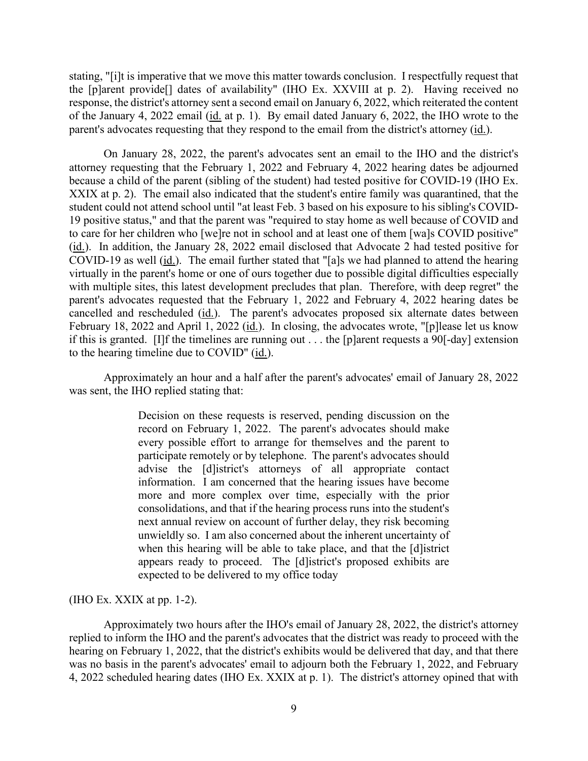the [p]arent provide[] dates of availability" (IHO Ex. XXVIII at p. 2). Having received no response, the district's attorney sent a second email on January 6, 2022, which reiterated the content of the January 4, 2022 email (id. at p. 1). By email dated January 6, 2022, the IHO wrote to the parent's advocates requesting that they respond to the email from the district's attorney (id.). stating, "[i]t is imperative that we move this matter towards conclusion. I respectfully request that

(id.). In addition, the January 28, 2022 email disclosed that Advocate 2 had tested positive for COVID-19 as well  $(id.)$ . The email further stated that "[a]s we had planned to attend the hearing cancelled and rescheduled (id.). The parent's advocates proposed six alternate dates between February 18, 2022 and April 1, 2022 (*id.*). In closing, the advocates wrote, "[p] lease let us know if this is granted. [I]f the timelines are running out . . . the [p]arent requests a 90[-day] extension to the hearing timeline due to COVID" (id.). On January 28, 2022, the parent's advocates sent an email to the IHO and the district's attorney requesting that the February 1, 2022 and February 4, 2022 hearing dates be adjourned because a child of the parent (sibling of the student) had tested positive for COVID-19 (IHO Ex. XXIX at p. 2). The email also indicated that the student's entire family was quarantined, that the student could not attend school until "at least Feb. 3 based on his exposure to his sibling's COVID-19 positive status," and that the parent was "required to stay home as well because of COVID and to care for her children who [we]re not in school and at least one of them [wa]s COVID positive" virtually in the parent's home or one of ours together due to possible digital difficulties especially with multiple sites, this latest development precludes that plan. Therefore, with deep regret" the parent's advocates requested that the February 1, 2022 and February 4, 2022 hearing dates be

Approximately an hour and a half after the parent's advocates' email of January 28, 2022 was sent, the IHO replied stating that:

> Decision on these requests is reserved, pending discussion on the record on February 1, 2022. The parent's advocates should make every possible effort to arrange for themselves and the parent to participate remotely or by telephone. The parent's advocates should advise the [d]istrict's attorneys of all appropriate contact information. I am concerned that the hearing issues have become more and more complex over time, especially with the prior consolidations, and that if the hearing process runs into the student's next annual review on account of further delay, they risk becoming unwieldly so. I am also concerned about the inherent uncertainty of when this hearing will be able to take place, and that the [d]istrict appears ready to proceed. The [d]istrict's proposed exhibits are expected to be delivered to my office today

#### (IHO Ex. XXIX at pp. 1-2).

 was no basis in the parent's advocates' email to adjourn both the February 1, 2022, and February 4, 2022 scheduled hearing dates (IHO Ex. XXIX at p. 1). The district's attorney opined that with Approximately two hours after the IHO's email of January 28, 2022, the district's attorney replied to inform the IHO and the parent's advocates that the district was ready to proceed with the hearing on February 1, 2022, that the district's exhibits would be delivered that day, and that there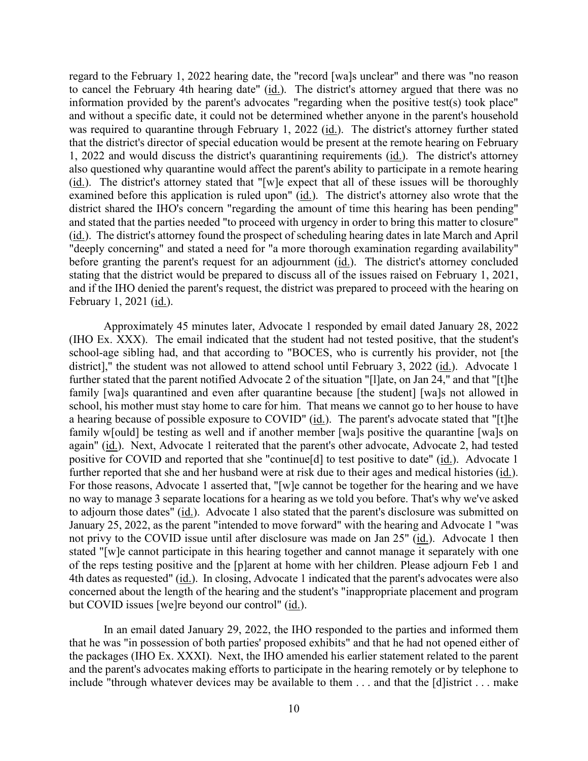to cancel the February 4th hearing date" (id.). The district's attorney argued that there was no was required to quarantine through February 1, 2022 (*id.*). The district's attorney further stated  $(i_d)$ . The district's attorney stated that "[w]e expect that all of these issues will be thoroughly examined before this application is ruled upon" (id.). The district's attorney also wrote that the district shared the IHO's concern "regarding the amount of time this hearing has been pending" regard to the February 1, 2022 hearing date, the "record [wa]s unclear" and there was "no reason information provided by the parent's advocates "regarding when the positive test(s) took place" and without a specific date, it could not be determined whether anyone in the parent's household that the district's director of special education would be present at the remote hearing on February 1, 2022 and would discuss the district's quarantining requirements (id.). The district's attorney also questioned why quarantine would affect the parent's ability to participate in a remote hearing and stated that the parties needed "to proceed with urgency in order to bring this matter to closure" (id.). The district's attorney found the prospect of scheduling hearing dates in late March and April "deeply concerning" and stated a need for "a more thorough examination regarding availability" before granting the parent's request for an adjournment (id.). The district's attorney concluded stating that the district would be prepared to discuss all of the issues raised on February 1, 2021, and if the IHO denied the parent's request, the district was prepared to proceed with the hearing on February 1, 2021 (id.).

 Approximately 45 minutes later, Advocate 1 responded by email dated January 28, 2022 (IHO Ex. XXX). The email indicated that the student had not tested positive, that the student's school-age sibling had, and that according to "BOCES, who is currently his provider, not [the district]," the student was not allowed to attend school until February 3, 2022 (id.). Advocate 1 further stated that the parent notified Advocate 2 of the situation "[l]ate, on Jan 24," and that "[t]he a hearing because of possible exposure to COVID" (id.). The parent's advocate stated that "[t]he again" (id.). Next, Advocate 1 reiterated that the parent's other advocate, Advocate 2, had tested positive for COVID and reported that she "continue[d] to test positive to date" (id.). Advocate 1 further reported that she and her husband were at risk due to their ages and medical histories (id.). For those reasons, Advocate 1 asserted that, "[w]e cannot be together for the hearing and we have to adjourn those dates" (id.). Advocate 1 also stated that the parent's disclosure was submitted on not privy to the COVID issue until after disclosure was made on Jan 25" (*id.*). Advocate 1 then 4th dates as requested" (*id.*). In closing, Advocate 1 indicated that the parent's advocates were also family [wa]s quarantined and even after quarantine because [the student] [wa]s not allowed in school, his mother must stay home to care for him. That means we cannot go to her house to have family w[ould] be testing as well and if another member [wa]s positive the quarantine [wa]s on no way to manage 3 separate locations for a hearing as we told you before. That's why we've asked January 25, 2022, as the parent "intended to move forward" with the hearing and Advocate 1 "was stated "[w]e cannot participate in this hearing together and cannot manage it separately with one of the reps testing positive and the [p]arent at home with her children. Please adjourn Feb 1 and concerned about the length of the hearing and the student's "inappropriate placement and program but COVID issues [we]re beyond our control" (id.).

 the packages (IHO Ex. XXXI). Next, the IHO amended his earlier statement related to the parent include "through whatever devices may be available to them . . . and that the [d]istrict . . . make In an email dated January 29, 2022, the IHO responded to the parties and informed them that he was "in possession of both parties' proposed exhibits" and that he had not opened either of and the parent's advocates making efforts to participate in the hearing remotely or by telephone to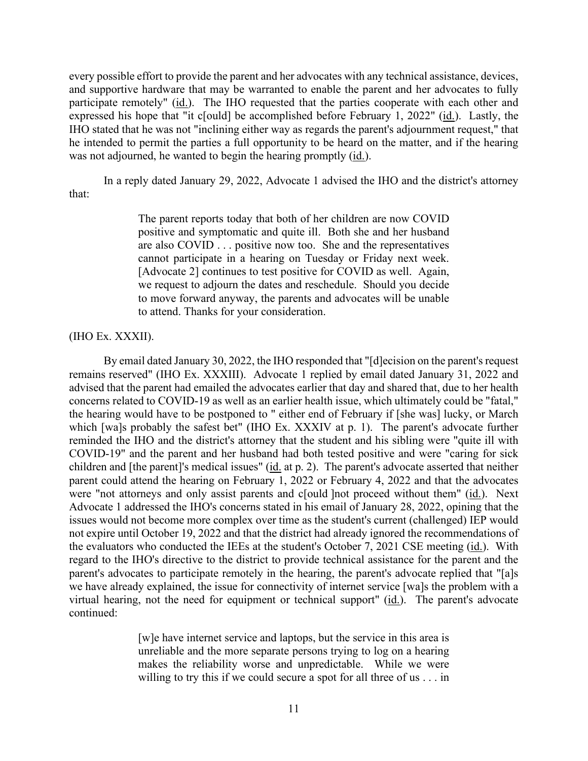and supportive hardware that may be warranted to enable the parent and her advocates to fully participate remotely" (id.). The IHO requested that the parties cooperate with each other and every possible effort to provide the parent and her advocates with any technical assistance, devices, expressed his hope that "it c[ould] be accomplished before February 1, 2022" (id.). Lastly, the IHO stated that he was not "inclining either way as regards the parent's adjournment request," that he intended to permit the parties a full opportunity to be heard on the matter, and if the hearing was not adjourned, he wanted to begin the hearing promptly (id.).

 In a reply dated January 29, 2022, Advocate 1 advised the IHO and the district's attorney that:

> are also COVID . . . positive now too. She and the representatives The parent reports today that both of her children are now COVID positive and symptomatic and quite ill. Both she and her husband cannot participate in a hearing on Tuesday or Friday next week. [Advocate 2] continues to test positive for COVID as well. Again, we request to adjourn the dates and reschedule. Should you decide to move forward anyway, the parents and advocates will be unable to attend. Thanks for your consideration.

# (IHO Ex. XXXII).

 remains reserved" (IHO Ex. XXXIII). Advocate 1 replied by email dated January 31, 2022 and advised that the parent had emailed the advocates earlier that day and shared that, due to her health which [wa]s probably the safest bet" (IHO Ex. XXXIV at p. 1). The parent's advocate further children and [the parent]'s medical issues" (id. at p. 2). The parent's advocate asserted that neither Advocate 1 addressed the IHO's concerns stated in his email of January 28, 2022, opining that the issues would not become more complex over time as the student's current (challenged) IEP would the evaluators who conducted the IEEs at the student's October 7, 2021 CSE meeting (id.). With we have already explained, the issue for connectivity of internet service [wa]s the problem with a virtual hearing, not the need for equipment or technical support" (id.). The parent's advocate By email dated January 30, 2022, the IHO responded that "[d]ecision on the parent's request concerns related to COVID-19 as well as an earlier health issue, which ultimately could be "fatal," the hearing would have to be postponed to " either end of February if [she was] lucky, or March reminded the IHO and the district's attorney that the student and his sibling were "quite ill with COVID-19" and the parent and her husband had both tested positive and were "caring for sick parent could attend the hearing on February 1, 2022 or February 4, 2022 and that the advocates were "not attorneys and only assist parents and c[ould ]not proceed without them" (id.). Next not expire until October 19, 2022 and that the district had already ignored the recommendations of regard to the IHO's directive to the district to provide technical assistance for the parent and the parent's advocates to participate remotely in the hearing, the parent's advocate replied that "[a]s continued:

> makes the reliability worse and unpredictable. While we were willing to try this if we could secure a spot for all three of us . . . in [w]e have internet service and laptops, but the service in this area is unreliable and the more separate persons trying to log on a hearing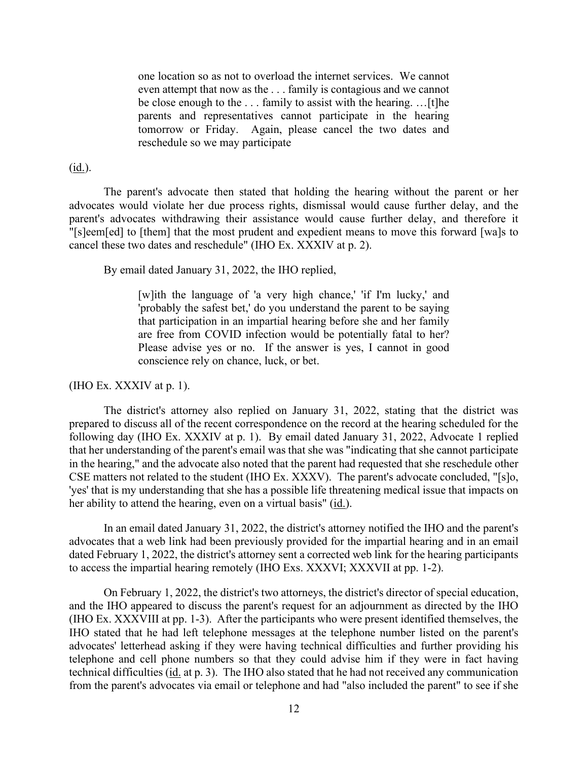even attempt that now as the . . . family is contagious and we cannot be close enough to the . . . family to assist with the hearing. …[t]he tomorrow or Friday. Again, please cancel the two dates and one location so as not to overload the internet services. We cannot parents and representatives cannot participate in the hearing reschedule so we may participate

# (id.).

The parent's advocate then stated that holding the hearing without the parent or her advocates would violate her due process rights, dismissal would cause further delay, and the parent's advocates withdrawing their assistance would cause further delay, and therefore it "[s]eem[ed] to [them] that the most prudent and expedient means to move this forward [wa]s to cancel these two dates and reschedule" (IHO Ex. XXXIV at p. 2).

By email dated January 31, 2022, the IHO replied,

 that participation in an impartial hearing before she and her family conscience rely on chance, luck, or bet.<br>(IHO Ex. XXXIV at p. 1). [w]ith the language of 'a very high chance,' 'if I'm lucky,' and 'probably the safest bet,' do you understand the parent to be saying are free from COVID infection would be potentially fatal to her? Please advise yes or no. If the answer is yes, I cannot in good

 prepared to discuss all of the recent correspondence on the record at the hearing scheduled for the following day (IHO Ex. XXXIV at p. 1). By email dated January 31, 2022, Advocate 1 replied CSE matters not related to the student (IHO Ex. XXXV). The parent's advocate concluded, "[s]o, her ability to attend the hearing, even on a virtual basis" (id.). The district's attorney also replied on January 31, 2022, stating that the district was that her understanding of the parent's email was that she was "indicating that she cannot participate in the hearing," and the advocate also noted that the parent had requested that she reschedule other 'yes' that is my understanding that she has a possible life threatening medical issue that impacts on

In an email dated January 31, 2022, the district's attorney notified the IHO and the parent's advocates that a web link had been previously provided for the impartial hearing and in an email dated February 1, 2022, the district's attorney sent a corrected web link for the hearing participants to access the impartial hearing remotely (IHO Exs. XXXVI; XXXVII at pp. 1-2).

 advocates' letterhead asking if they were having technical difficulties and further providing his telephone and cell phone numbers so that they could advise him if they were in fact having technical difficulties (id. at p. 3). The IHO also stated that he had not received any communication On February 1, 2022, the district's two attorneys, the district's director of special education, and the IHO appeared to discuss the parent's request for an adjournment as directed by the IHO (IHO Ex. XXXVIII at pp. 1-3). After the participants who were present identified themselves, the IHO stated that he had left telephone messages at the telephone number listed on the parent's from the parent's advocates via email or telephone and had "also included the parent" to see if she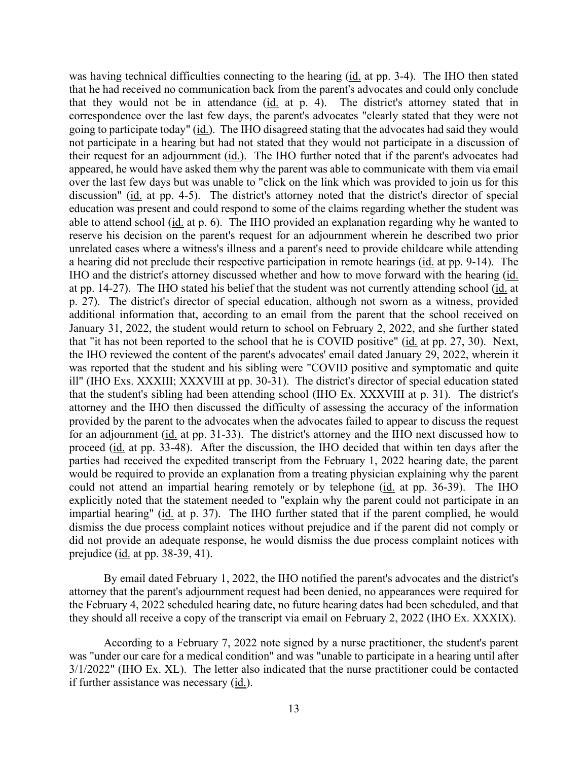was having technical difficulties connecting to the hearing (id. at pp. 3-4). The IHO then stated their request for an adjournment (id.). The IHO further noted that if the parent's advocates had over the last few days but was unable to "click on the link which was provided to join us for this ill" (IHO Exs. XXXIII; XXXVIII at pp. 30-31). The district's director of special education stated proceed (id. at pp. 33-48). After the discussion, the IHO decided that within ten days after the could not attend an impartial hearing remotely or by telephone (id. at pp. 36-39). The IHO impartial hearing" (id. at p. 37). The IHO further stated that if the parent complied, he would that he had received no communication back from the parent's advocates and could only conclude that they would not be in attendance (id. at p. 4). The district's attorney stated that in correspondence over the last few days, the parent's advocates "clearly stated that they were not going to participate today" (id.). The IHO disagreed stating that the advocates had said they would not participate in a hearing but had not stated that they would not participate in a discussion of appeared, he would have asked them why the parent was able to communicate with them via email discussion" (id. at pp. 4-5). The district's attorney noted that the district's director of special education was present and could respond to some of the claims regarding whether the student was able to attend school (id. at p. 6). The IHO provided an explanation regarding why he wanted to reserve his decision on the parent's request for an adjournment wherein he described two prior unrelated cases where a witness's illness and a parent's need to provide childcare while attending a hearing did not preclude their respective participation in remote hearings (id. at pp. 9-14). The IHO and the district's attorney discussed whether and how to move forward with the hearing (id. at pp. 14-27). The IHO stated his belief that the student was not currently attending school (id. at p. 27). The district's director of special education, although not sworn as a witness, provided additional information that, according to an email from the parent that the school received on January 31, 2022, the student would return to school on February 2, 2022, and she further stated that "it has not been reported to the school that he is COVID positive" (id. at pp. 27, 30). Next, the IHO reviewed the content of the parent's advocates' email dated January 29, 2022, wherein it was reported that the student and his sibling were "COVID positive and symptomatic and quite that the student's sibling had been attending school (IHO Ex. XXXVIII at p. 31). The district's attorney and the IHO then discussed the difficulty of assessing the accuracy of the information provided by the parent to the advocates when the advocates failed to appear to discuss the request for an adjournment (id. at pp. 31-33). The district's attorney and the IHO next discussed how to parties had received the expedited transcript from the February 1, 2022 hearing date, the parent would be required to provide an explanation from a treating physician explaining why the parent explicitly noted that the statement needed to "explain why the parent could not participate in an dismiss the due process complaint notices without prejudice and if the parent did not comply or did not provide an adequate response, he would dismiss the due process complaint notices with prejudice (id. at pp. 38-39, 41).

By email dated February 1, 2022, the IHO notified the parent's advocates and the district's attorney that the parent's adjournment request had been denied, no appearances were required for the February 4, 2022 scheduled hearing date, no future hearing dates had been scheduled, and that they should all receive a copy of the transcript via email on February 2, 2022 (IHO Ex. XXXIX).

 was "under our care for a medical condition" and was "unable to participate in a hearing until after 3/1/2022" (IHO Ex. XL). The letter also indicated that the nurse practitioner could be contacted According to a February 7, 2022 note signed by a nurse practitioner, the student's parent if further assistance was necessary (id.).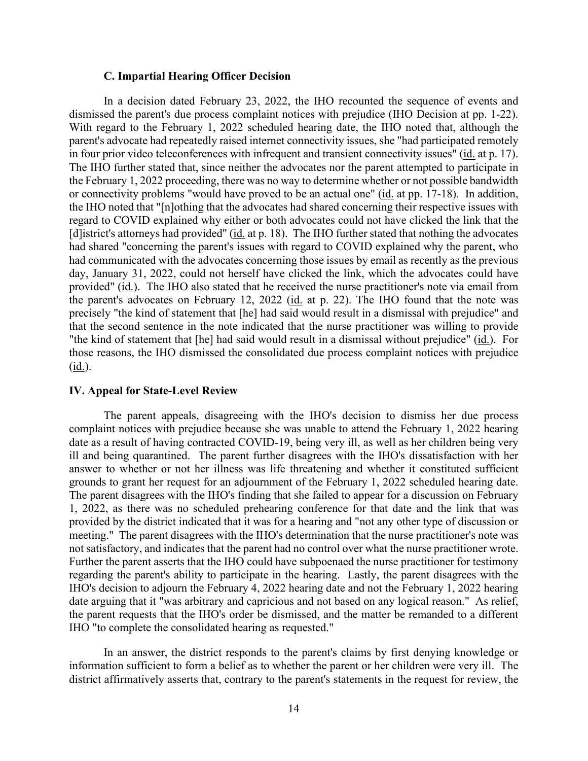#### **C. Impartial Hearing Officer Decision**

 In a decision dated February 23, 2022, the IHO recounted the sequence of events and dismissed the parent's due process complaint notices with prejudice (IHO Decision at pp. 1-22). dismissed the parent's due process complaint notices with prejudice (IHO Decision at pp. 1-22). With regard to the February 1, 2022 scheduled hearing date, the IHO noted that, although the in four prior video teleconferences with infrequent and transient connectivity issues" (id. at p. 17). day, January 31, 2022, could not herself have clicked the link, which the advocates could have provided" (id.). The IHO also stated that he received the nurse practitioner's note via email from the parent's advocates on February 12, 2022 (id. at p. 22). The IHO found that the note was "the kind of statement that [he] had said would result in a dismissal without prejudice" (id.). For parent's advocate had repeatedly raised internet connectivity issues, she "had participated remotely The IHO further stated that, since neither the advocates nor the parent attempted to participate in the February 1, 2022 proceeding, there was no way to determine whether or not possible bandwidth or connectivity problems "would have proved to be an actual one" (id. at pp. 17-18). In addition, the IHO noted that "[n]othing that the advocates had shared concerning their respective issues with regard to COVID explained why either or both advocates could not have clicked the link that the [d]istrict's attorneys had provided" (id. at p. 18). The IHO further stated that nothing the advocates had shared "concerning the parent's issues with regard to COVID explained why the parent, who had communicated with the advocates concerning those issues by email as recently as the previous precisely "the kind of statement that [he] had said would result in a dismissal with prejudice" and that the second sentence in the note indicated that the nurse practitioner was willing to provide those reasons, the IHO dismissed the consolidated due process complaint notices with prejudice (id.).

### **IV. Appeal for State-Level Review**

 The parent appeals, disagreeing with the IHO's decision to dismiss her due process ill and being quarantined. The parent further disagrees with the IHO's dissatisfaction with her grounds to grant her request for an adjournment of the February 1, 2022 scheduled hearing date. meeting." The parent disagrees with the IHO's determination that the nurse practitioner's note was Further the parent asserts that the IHO could have subpoenaed the nurse practitioner for testimony complaint notices with prejudice because she was unable to attend the February 1, 2022 hearing date as a result of having contracted COVID-19, being very ill, as well as her children being very answer to whether or not her illness was life threatening and whether it constituted sufficient The parent disagrees with the IHO's finding that she failed to appear for a discussion on February 1, 2022, as there was no scheduled prehearing conference for that date and the link that was provided by the district indicated that it was for a hearing and "not any other type of discussion or not satisfactory, and indicates that the parent had no control over what the nurse practitioner wrote. regarding the parent's ability to participate in the hearing. Lastly, the parent disagrees with the IHO's decision to adjourn the February 4, 2022 hearing date and not the February 1, 2022 hearing date arguing that it "was arbitrary and capricious and not based on any logical reason." As relief, the parent requests that the IHO's order be dismissed, and the matter be remanded to a different IHO "to complete the consolidated hearing as requested."

In an answer, the district responds to the parent's claims by first denying knowledge or information sufficient to form a belief as to whether the parent or her children were very ill. The district affirmatively asserts that, contrary to the parent's statements in the request for review, the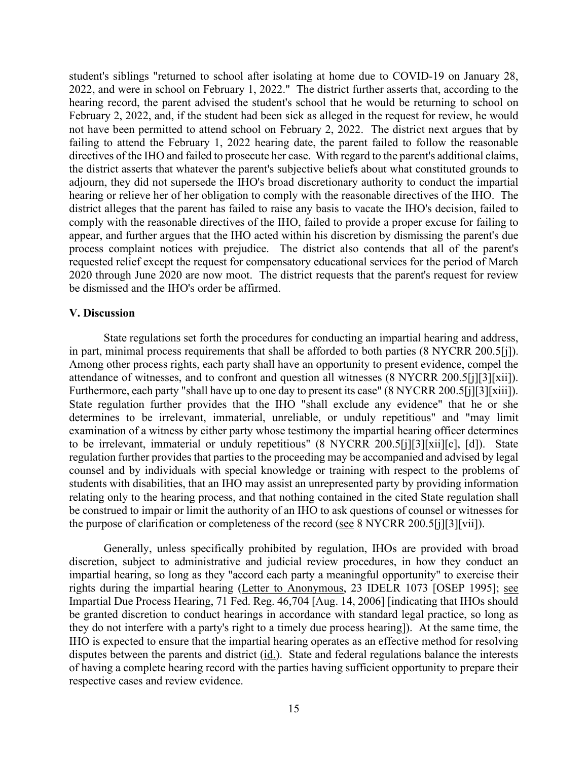hearing or relieve her of her obligation to comply with the reasonable directives of the IHO. The 2020 through June 2020 are now moot. The district requests that the parent's request for review student's siblings "returned to school after isolating at home due to COVID-19 on January 28, 2022, and were in school on February 1, 2022." The district further asserts that, according to the hearing record, the parent advised the student's school that he would be returning to school on February 2, 2022, and, if the student had been sick as alleged in the request for review, he would not have been permitted to attend school on February 2, 2022. The district next argues that by failing to attend the February 1, 2022 hearing date, the parent failed to follow the reasonable directives of the IHO and failed to prosecute her case. With regard to the parent's additional claims, the district asserts that whatever the parent's subjective beliefs about what constituted grounds to adjourn, they did not supersede the IHO's broad discretionary authority to conduct the impartial district alleges that the parent has failed to raise any basis to vacate the IHO's decision, failed to comply with the reasonable directives of the IHO, failed to provide a proper excuse for failing to appear, and further argues that the IHO acted within his discretion by dismissing the parent's due process complaint notices with prejudice. The district also contends that all of the parent's requested relief except the request for compensatory educational services for the period of March be dismissed and the IHO's order be affirmed.

#### **V. Discussion**

in part, minimal process requirements that shall be afforded to both parties (8 NYCRR 200.5[j]). attendance of witnesses, and to confront and question all witnesses (8 NYCRR 200.5[j][3][xii]). to be irrelevant, immaterial or unduly repetitious" (8 NYCRR 200.5[j][3][xii][c], [d]). State be construed to impair or limit the authority of an IHO to ask questions of counsel or witnesses for State regulations set forth the procedures for conducting an impartial hearing and address, Among other process rights, each party shall have an opportunity to present evidence, compel the attendance of witnesses, and to confront and question all witnesses (8 NYCRR 200.5[j][3][xii]).<br>Furthermore, each party "shall have up to one day to present its case" (8 NYCRR 200.5[j][3][xiii]).<br>State regulation further p determines to be irrelevant, immaterial, unreliable, or unduly repetitious" and "may limit examination of a witness by either party whose testimony the impartial hearing officer determines regulation further provides that parties to the proceeding may be accompanied and advised by legal counsel and by individuals with special knowledge or training with respect to the problems of students with disabilities, that an IHO may assist an unrepresented party by providing information relating only to the hearing process, and that nothing contained in the cited State regulation shall the purpose of clarification or completeness of the record (see 8 NYCRR 200.5[j][3][vii]).

Generally, unless specifically prohibited by regulation, IHOs are provided with broad discretion, subject to administrative and judicial review procedures, in how they conduct an impartial hearing, so long as they "accord each party a meaningful opportunity" to exercise their rights during the impartial hearing (Letter to Anonymous, 23 IDELR 1073 [OSEP 1995]; see Impartial Due Process Hearing, 71 Fed. Reg. 46,704 [Aug. 14, 2006] [indicating that IHOs should be granted discretion to conduct hearings in accordance with standard legal practice, so long as they do not interfere with a party's right to a timely due process hearing]). At the same time, the IHO is expected to ensure that the impartial hearing operates as an effective method for resolving disputes between the parents and district (id.). State and federal regulations balance the interests of having a complete hearing record with the parties having sufficient opportunity to prepare their respective cases and review evidence.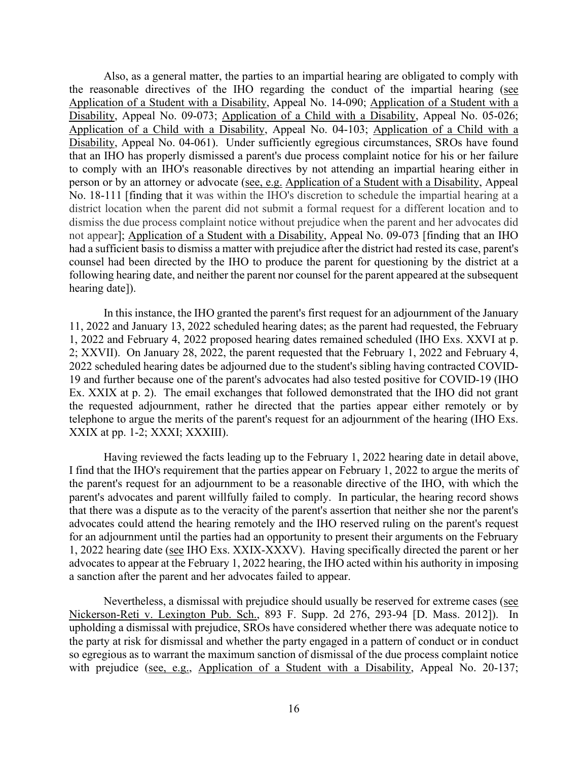that an IHO has properly dismissed a parent's due process complaint notice for his or her failure No. 18-111 [finding that it was within the IHO's discretion to schedule the impartial hearing at a Also, as a general matter, the parties to an impartial hearing are obligated to comply with the reasonable directives of the IHO regarding the conduct of the impartial hearing (see Application of a Student with a Disability, Appeal No. 14-090; Application of a Student with a Disability, Appeal No. 09-073; Application of a Child with a Disability, Appeal No. 05-026; Application of a Child with a Disability, Appeal No. 04-103; Application of a Child with a Disability, Appeal No. 04-061). Under sufficiently egregious circumstances, SROs have found to comply with an IHO's reasonable directives by not attending an impartial hearing either in person or by an attorney or advocate (see, e.g. Application of a Student with a Disability, Appeal district location when the parent did not submit a formal request for a different location and to dismiss the due process complaint notice without prejudice when the parent and her advocates did not appear]; Application of a Student with a Disability, Appeal No. 09-073 [finding that an IHO had a sufficient basis to dismiss a matter with prejudice after the district had rested its case, parent's counsel had been directed by the IHO to produce the parent for questioning by the district at a following hearing date, and neither the parent nor counsel for the parent appeared at the subsequent hearing date]).

 2; XXVII). On January 28, 2022, the parent requested that the February 1, 2022 and February 4, the requested adjournment, rather he directed that the parties appear either remotely or by In this instance, the IHO granted the parent's first request for an adjournment of the January 11, 2022 and January 13, 2022 scheduled hearing dates; as the parent had requested, the February 1, 2022 and February 4, 2022 proposed hearing dates remained scheduled (IHO Exs. XXVI at p. 2022 scheduled hearing dates be adjourned due to the student's sibling having contracted COVID-19 and further because one of the parent's advocates had also tested positive for COVID-19 (IHO Ex. XXIX at p. 2). The email exchanges that followed demonstrated that the IHO did not grant telephone to argue the merits of the parent's request for an adjournment of the hearing (IHO Exs. XXIX at pp. 1-2; XXXI; XXXIII).

 advocates could attend the hearing remotely and the IHO reserved ruling on the parent's request 1, 2022 hearing date (see IHO Exs. XXIX-XXXV). Having specifically directed the parent or her Having reviewed the facts leading up to the February 1, 2022 hearing date in detail above, I find that the IHO's requirement that the parties appear on February 1, 2022 to argue the merits of the parent's request for an adjournment to be a reasonable directive of the IHO, with which the parent's advocates and parent willfully failed to comply. In particular, the hearing record shows that there was a dispute as to the veracity of the parent's assertion that neither she nor the parent's for an adjournment until the parties had an opportunity to present their arguments on the February advocates to appear at the February 1, 2022 hearing, the IHO acted within his authority in imposing a sanction after the parent and her advocates failed to appear.

Nevertheless, a dismissal with prejudice should usually be reserved for extreme cases (see Nickerson-Reti v. Lexington Pub. Sch., 893 F. Supp. 2d 276, 293-94 [D. Mass. 2012]). In the party at risk for dismissal and whether the party engaged in a pattern of conduct or in conduct with prejudice (see, e.g., Application of a Student with a Disability, Appeal No. 20-137; upholding a dismissal with prejudice, SROs have considered whether there was adequate notice to so egregious as to warrant the maximum sanction of dismissal of the due process complaint notice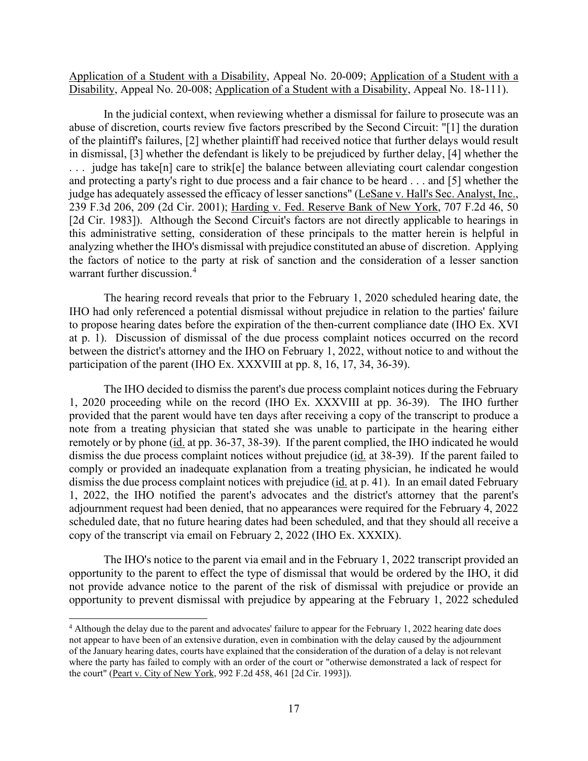Application of a Student with a Disability, Appeal No. 20-009; Application of a Student with a Disability, Appeal No. 20-008; Application of a Student with a Disability, Appeal No. 18-111).

 . . . judge has take[n] care to strik[e] the balance between alleviating court calendar congestion and protecting a party's right to due process and a fair chance to be heard . . . and [5] whether the judge has adequately assessed the efficacy of lesser sanctions" (LeSane v. Hall's Sec. Analyst, Inc., 239 F.3d 206, 209 (2d Cir. 2001); Harding v. Fed. Reserve Bank of New York, 707 F.2d 46, 50 [2d Cir. 1983]). Although the Second Circuit's factors are not directly applicable to hearings in In the judicial context, when reviewing whether a dismissal for failure to prosecute was an abuse of discretion, courts review five factors prescribed by the Second Circuit: "[1] the duration of the plaintiff's failures, [2] whether plaintiff had received notice that further delays would result in dismissal, [3] whether the defendant is likely to be prejudiced by further delay, [4] whether the this administrative setting, consideration of these principals to the matter herein is helpful in analyzing whether the IHO's dismissal with prejudice constituted an abuse of discretion. Applying the factors of notice to the party at risk of sanction and the consideration of a lesser sanction warrant further discussion.[4](#page-16-0) 

 to propose hearing dates before the expiration of the then-current compliance date (IHO Ex. XVI The hearing record reveals that prior to the February 1, 2020 scheduled hearing date, the IHO had only referenced a potential dismissal without prejudice in relation to the parties' failure at p. 1). Discussion of dismissal of the due process complaint notices occurred on the record between the district's attorney and the IHO on February 1, 2022, without notice to and without the participation of the parent (IHO Ex. XXXVIII at pp. 8, 16, 17, 34, 36-39).

 1, 2020 proceeding while on the record (IHO Ex. XXXVIII at pp. 36-39). The IHO further note from a treating physician that stated she was unable to participate in the hearing either remotely or by phone (id. at pp. 36-37, 38-39). If the parent complied, the IHO indicated he would dismiss the due process complaint notices without prejudice (id. at 38-39). If the parent failed to dismiss the due process complaint notices with prejudice (*id.* at p. 41). In an email dated February scheduled date, that no future hearing dates had been scheduled, and that they should all receive a The IHO decided to dismiss the parent's due process complaint notices during the February provided that the parent would have ten days after receiving a copy of the transcript to produce a comply or provided an inadequate explanation from a treating physician, he indicated he would 1, 2022, the IHO notified the parent's advocates and the district's attorney that the parent's adjournment request had been denied, that no appearances were required for the February 4, 2022 copy of the transcript via email on February 2, 2022 (IHO Ex. XXXIX).

The IHO's notice to the parent via email and in the February 1, 2022 transcript provided an opportunity to the parent to effect the type of dismissal that would be ordered by the IHO, it did not provide advance notice to the parent of the risk of dismissal with prejudice or provide an opportunity to prevent dismissal with prejudice by appearing at the February 1, 2022 scheduled

<span id="page-16-0"></span> $4$  Although the delay due to the parent and advocates' failure to appear for the February 1, 2022 hearing date does of the January hearing dates, courts have explained that the consideration of the duration of a delay is not relevant where the party has failed to comply with an order of the court or "otherwise demonstrated a lack of respect for not appear to have been of an extensive duration, even in combination with the delay caused by the adjournment the court" (Peart v. City of New York, 992 F.2d 458, 461 [2d Cir. 1993]).